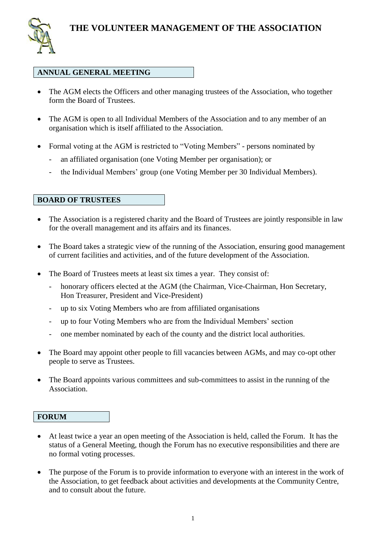

## **ANNUAL GENERAL MEETING**

- The AGM elects the Officers and other managing trustees of the Association, who together form the Board of Trustees.
- The AGM is open to all Individual Members of the Association and to any member of an organisation which is itself affiliated to the Association.
- Formal voting at the AGM is restricted to "Voting Members" persons nominated by
	- an affiliated organisation (one Voting Member per organisation); or
	- the Individual Members' group (one Voting Member per 30 Individual Members).

## **BOARD OF TRUSTEES**

- The Association is a registered charity and the Board of Trustees are jointly responsible in law for the overall management and its affairs and its finances.
- The Board takes a strategic view of the running of the Association, ensuring good management of current facilities and activities, and of the future development of the Association.
- The Board of Trustees meets at least six times a year. They consist of:
	- honorary officers elected at the AGM (the Chairman, Vice-Chairman, Hon Secretary, Hon Treasurer, President and Vice-President)
	- up to six Voting Members who are from affiliated organisations
	- up to four Voting Members who are from the Individual Members' section
	- one member nominated by each of the county and the district local authorities.
- The Board may appoint other people to fill vacancies between AGMs, and may co-opt other people to serve as Trustees.
- The Board appoints various committees and sub-committees to assist in the running of the Association.

## **FORUM**

- At least twice a year an open meeting of the Association is held, called the Forum. It has the status of a General Meeting, though the Forum has no executive responsibilities and there are no formal voting processes.
- The purpose of the Forum is to provide information to everyone with an interest in the work of the Association, to get feedback about activities and developments at the Community Centre, and to consult about the future.